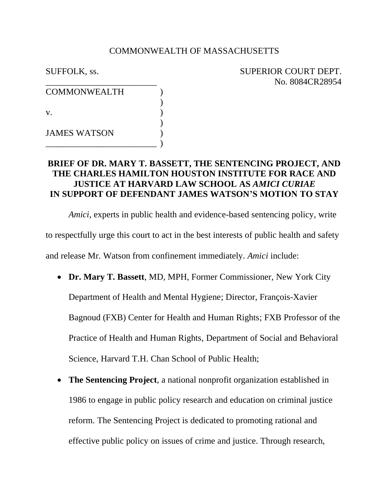### COMMONWEALTH OF MASSACHUSETTS

| <b>SUFFOLK</b> , ss. | SUPERIOR COURT DEPT. |
|----------------------|----------------------|
|                      | No. 8084CR28954      |

| <b>COMMONWEALTH</b> |  |
|---------------------|--|
| $V_{\cdot}$         |  |
| <b>JAMES WATSON</b> |  |

## **BRIEF OF DR. MARY T. BASSETT, THE SENTENCING PROJECT, AND THE CHARLES HAMILTON HOUSTON INSTITUTE FOR RACE AND JUSTICE AT HARVARD LAW SCHOOL AS** *AMICI CURIAE* **IN SUPPORT OF DEFENDANT JAMES WATSON'S MOTION TO STAY**

*Amici*, experts in public health and evidence-based sentencing policy, write to respectfully urge this court to act in the best interests of public health and safety and release Mr. Watson from confinement immediately. *Amici* include:

- **Dr. Mary T. Bassett**, MD, MPH, Former Commissioner, New York City Department of Health and Mental Hygiene; Director, François-Xavier Bagnoud (FXB) Center for Health and Human Rights; FXB Professor of the Practice of Health and Human Rights, Department of Social and Behavioral Science, Harvard T.H. Chan School of Public Health;
- **The Sentencing Project**, a national nonprofit organization established in 1986 to engage in public policy research and education on criminal justice reform. The Sentencing Project is dedicated to promoting rational and effective public policy on issues of crime and justice. Through research,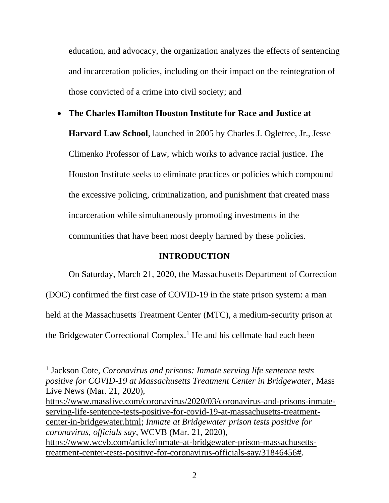education, and advocacy, the organization analyzes the effects of sentencing and incarceration policies, including on their impact on the reintegration of those convicted of a crime into civil society; and

• **The Charles Hamilton Houston Institute for Race and Justice at Harvard Law School**, launched in 2005 by Charles J. Ogletree, Jr., Jesse Climenko Professor of Law, which works to advance racial justice. The Houston Institute seeks to eliminate practices or policies which compound the excessive policing, criminalization, and punishment that created mass incarceration while simultaneously promoting investments in the communities that have been most deeply harmed by these policies.

## **INTRODUCTION**

On Saturday, March 21, 2020, the Massachusetts Department of Correction

(DOC) confirmed the first case of COVID-19 in the state prison system: a man held at the Massachusetts Treatment Center (MTC), a medium-security prison at the Bridgewater Correctional Complex.<sup>1</sup> He and his cellmate had each been

[https://www.masslive.com/coronavirus/2020/03/coronavirus-and-prisons-inmate](https://www.masslive.com/coronavirus/2020/03/coronavirus-and-prisons-inmate-serving-life-sentence-tests-positive-for-covid-19-at-massachusetts-treatment-center-in-bridgewater.html)[serving-life-sentence-tests-positive-for-covid-19-at-massachusetts-treatment](https://www.masslive.com/coronavirus/2020/03/coronavirus-and-prisons-inmate-serving-life-sentence-tests-positive-for-covid-19-at-massachusetts-treatment-center-in-bridgewater.html)[center-in-bridgewater.html;](https://www.masslive.com/coronavirus/2020/03/coronavirus-and-prisons-inmate-serving-life-sentence-tests-positive-for-covid-19-at-massachusetts-treatment-center-in-bridgewater.html) *Inmate at Bridgewater prison tests positive for coronavirus, officials say*, WCVB (Mar. 21, 2020),

<sup>&</sup>lt;sup>1</sup> Jackson Cote, *Coronavirus and prisons: Inmate serving life sentence tests positive for COVID-19 at Massachusetts Treatment Center in Bridgewater*, Mass Live News (Mar. 21, 2020),

[https://www.wcvb.com/article/inmate-at-bridgewater-prison-massachusetts](https://www.wcvb.com/article/inmate-at-bridgewater-prison-massachusetts-treatment-center-tests-positive-for-coronavirus-officials-say/31846456)[treatment-center-tests-positive-for-coronavirus-officials-say/31846456#.](https://www.wcvb.com/article/inmate-at-bridgewater-prison-massachusetts-treatment-center-tests-positive-for-coronavirus-officials-say/31846456)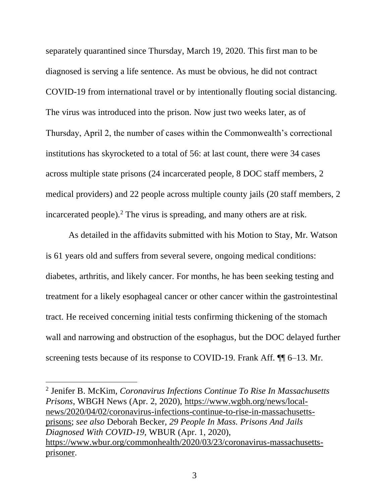separately quarantined since Thursday, March 19, 2020. This first man to be diagnosed is serving a life sentence. As must be obvious, he did not contract COVID-19 from international travel or by intentionally flouting social distancing. The virus was introduced into the prison. Now just two weeks later, as of Thursday, April 2, the number of cases within the Commonwealth's correctional institutions has skyrocketed to a total of 56: at last count, there were 34 cases across multiple state prisons (24 incarcerated people, 8 DOC staff members, 2 medical providers) and 22 people across multiple county jails (20 staff members, 2 incarcerated people).<sup>2</sup> The virus is spreading, and many others are at risk.

As detailed in the affidavits submitted with his Motion to Stay, Mr. Watson is 61 years old and suffers from several severe, ongoing medical conditions: diabetes, arthritis, and likely cancer. For months, he has been seeking testing and treatment for a likely esophageal cancer or other cancer within the gastrointestinal tract. He received concerning initial tests confirming thickening of the stomach wall and narrowing and obstruction of the esophagus, but the DOC delayed further screening tests because of its response to COVID-19. Frank Aff.  $\P$  6–13. Mr.

2 Jenifer B. McKim, *Coronavirus Infections Continue To Rise In Massachusetts Prisons*, WBGH News (Apr. 2, 2020), [https://www.wgbh.org/news/local](https://www.wgbh.org/news/local-news/2020/04/02/coronavirus-infections-continue-to-rise-in-massachusetts-prisons)[news/2020/04/02/coronavirus-infections-continue-to-rise-in-massachusetts](https://www.wgbh.org/news/local-news/2020/04/02/coronavirus-infections-continue-to-rise-in-massachusetts-prisons)[prisons;](https://www.wgbh.org/news/local-news/2020/04/02/coronavirus-infections-continue-to-rise-in-massachusetts-prisons) *see also* Deborah Becker, *29 People In Mass. Prisons And Jails Diagnosed With COVID-19*, WBUR (Apr. 1, 2020), [https://www.wbur.org/commonhealth/2020/03/23/coronavirus-massachusetts](https://www.wbur.org/commonhealth/2020/03/23/coronavirus-massachusetts-prisoner)[prisoner.](https://www.wbur.org/commonhealth/2020/03/23/coronavirus-massachusetts-prisoner)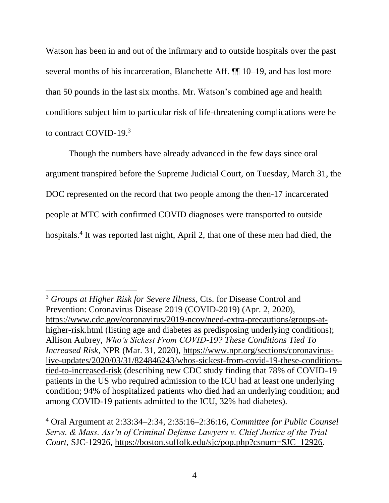Watson has been in and out of the infirmary and to outside hospitals over the past several months of his incarceration, Blanchette Aff.  $\P$  10–19, and has lost more than 50 pounds in the last six months. Mr. Watson's combined age and health conditions subject him to particular risk of life-threatening complications were he to contract COVID-19.<sup>3</sup>

Though the numbers have already advanced in the few days since oral argument transpired before the Supreme Judicial Court, on Tuesday, March 31, the DOC represented on the record that two people among the then-17 incarcerated people at MTC with confirmed COVID diagnoses were transported to outside hospitals.<sup>4</sup> It was reported last night, April 2, that one of these men had died, the

<sup>3</sup> *Groups at Higher Risk for Severe Illness*, Cts. for Disease Control and Prevention: Coronavirus Disease 2019 (COVID-2019) (Apr. 2, 2020), [https://www.cdc.gov/coronavirus/2019-ncov/need-extra-precautions/groups-at](https://www.cdc.gov/coronavirus/2019-ncov/need-extra-precautions/groups-at-higher-risk.html)[higher-risk.html](https://www.cdc.gov/coronavirus/2019-ncov/need-extra-precautions/groups-at-higher-risk.html) (listing age and diabetes as predisposing underlying conditions); Allison Aubrey, *Who's Sickest From COVID-19? These Conditions Tied To Increased Risk*, NPR (Mar. 31, 2020), [https://www.npr.org/sections/coronavirus](https://www.npr.org/sections/coronavirus-live-updates/2020/03/31/824846243/whos-sickest-from-covid-19-these-conditions-tied-to-increased-risk)[live-updates/2020/03/31/824846243/whos-sickest-from-covid-19-these-conditions](https://www.npr.org/sections/coronavirus-live-updates/2020/03/31/824846243/whos-sickest-from-covid-19-these-conditions-tied-to-increased-risk)[tied-to-increased-risk](https://www.npr.org/sections/coronavirus-live-updates/2020/03/31/824846243/whos-sickest-from-covid-19-these-conditions-tied-to-increased-risk) (describing new CDC study finding that 78% of COVID-19 patients in the US who required admission to the ICU had at least one underlying condition; 94% of hospitalized patients who died had an underlying condition; and among COVID-19 patients admitted to the ICU, 32% had diabetes).

<sup>4</sup> Oral Argument at 2:33:34–2:34, 2:35:16–2:36:16, *Committee for Public Counsel Servs. & Mass. Ass'n of Criminal Defense Lawyers v. Chief Justice of the Trial Court*, SJC-12926, [https://boston.suffolk.edu/sjc/pop.php?csnum=SJC\\_12926.](https://boston.suffolk.edu/sjc/pop.php?csnum=SJC_12926)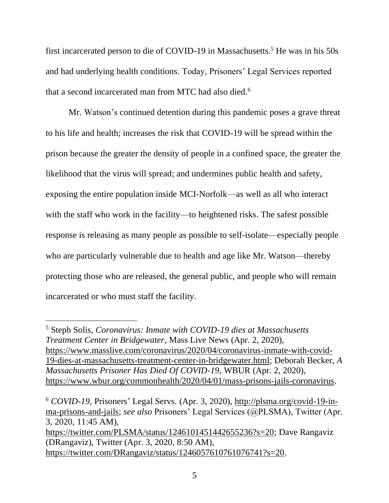first incarcerated person to die of COVID-19 in Massachusetts.<sup>5</sup> He was in his  $50s$ and had underlying health conditions. Today, Prisoners' Legal Services reported that a second incarcerated man from MTC had also died.<sup>6</sup>

Mr. Watson's continued detention during this pandemic poses a grave threat to his life and health; increases the risk that COVID-19 will be spread within the prison because the greater the density of people in a confined space, the greater the likelihood that the virus will spread; and undermines public health and safety, exposing the entire population inside MCI-Norfolk—as well as all who interact with the staff who work in the facility—to heightened risks. The safest possible response is releasing as many people as possible to self-isolate—especially people who are particularly vulnerable due to health and age like Mr. Watson—thereby protecting those who are released, the general public, and people who will remain incarcerated or who must staff the facility.

<sup>5</sup> Steph Solis, *Coronavirus: Inmate with COVID-19 dies at Massachusetts Treatment Center in Bridgewater*, Mass Live News (Apr. 2, 2020), [https://www.masslive.com/coronavirus/2020/04/coronavirus-inmate-with-covid-](https://www.masslive.com/coronavirus/2020/04/coronavirus-inmate-with-covid-19-dies-at-massachusetts-treatment-center-in-bridgewater.html)[19-dies-at-massachusetts-treatment-center-in-bridgewater.html;](https://www.masslive.com/coronavirus/2020/04/coronavirus-inmate-with-covid-19-dies-at-massachusetts-treatment-center-in-bridgewater.html) Deborah Becker, *A Massachusetts Prisoner Has Died Of COVID-19*, WBUR (Apr. 2, 2020), [https://www.wbur.org/commonhealth/2020/04/01/mass-prisons-jails-coronavirus.](https://www.wbur.org/commonhealth/2020/04/01/mass-prisons-jails-coronavirus)

<sup>6</sup> *COVID-19*, Prisoners' Legal Servs. (Apr. 3, 2020), [http://plsma.org/covid-19-in](http://plsma.org/covid-19-in-ma-prisons-and-jails)[ma-prisons-and-jails;](http://plsma.org/covid-19-in-ma-prisons-and-jails) *see also* Prisoners' Legal Services (@PLSMA), Twitter (Apr. 3, 2020, 11:45 AM), [https://twitter.com/PLSMA/status/1246101451442655236?s=20;](https://twitter.com/PLSMA/status/1246101451442655236?s=20) Dave Rangaviz (DRangaviz), Twitter (Apr. 3, 2020, 8:50 AM), [https://twitter.com/DRangaviz/status/1246057610761076741?s=20.](https://twitter.com/DRangaviz/status/1246057610761076741?s=20)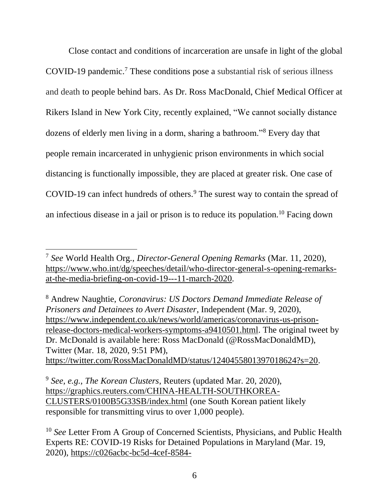Close contact and conditions of incarceration are unsafe in light of the global COVID-19 pandemic.<sup>7</sup> These conditions pose a substantial risk of serious illness and death to people behind bars. As Dr. Ross MacDonald, Chief Medical Officer at Rikers Island in New York City, recently explained, "We cannot socially distance dozens of elderly men living in a dorm, sharing a bathroom."<sup>8</sup> Every day that people remain incarcerated in unhygienic prison environments in which social distancing is functionally impossible, they are placed at greater risk. One case of COVID-19 can infect hundreds of others. <sup>9</sup> The surest way to contain the spread of an infectious disease in a jail or prison is to reduce its population.<sup>10</sup> Facing down

<sup>8</sup> Andrew Naughtie, *Coronavirus: US Doctors Demand Immediate Release of Prisoners and Detainees to Avert Disaster*, Independent (Mar. 9, 2020), [https://www.independent.co.uk/news/world/americas/coronavirus-us-prison](https://www.independent.co.uk/news/world/americas/coronavirus-us-prison-release-doctors-medical-workers-symptoms-a9410501.html)[release-doctors-medical-workers-symptoms-a9410501.html.](https://www.independent.co.uk/news/world/americas/coronavirus-us-prison-release-doctors-medical-workers-symptoms-a9410501.html) The original tweet by Dr. McDonald is available here: Ross MacDonald (@RossMacDonaldMD), Twitter (Mar. 18, 2020, 9:51 PM), [https://twitter.com/RossMacDonaldMD/status/1240455801397018624?s=20.](https://twitter.com/RossMacDonaldMD/status/1240455801397018624?s=20)

<sup>7</sup> *See* World Health Org., *Director-General Opening Remarks* (Mar. 11, 2020), [https://www.who.int/dg/speeches/detail/who-director-general-s-opening-remarks](https://www.who.int/dg/speeches/detail/who-director-general-s-opening-remarks-at-the-media-briefing-on-covid-19---11-march-2020)[at-the-media-briefing-on-covid-19---11-march-2020.](https://www.who.int/dg/speeches/detail/who-director-general-s-opening-remarks-at-the-media-briefing-on-covid-19---11-march-2020)

<sup>9</sup> *See, e.g.*, *The Korean Clusters*, Reuters (updated Mar. 20, 2020), [https://graphics.reuters.com/CHINA-HEALTH-SOUTHKOREA-](https://graphics.reuters.com/CHINA-HEALTH-SOUTHKOREA-CLUSTERS/0100B5G33SB/index.html)[CLUSTERS/0100B5G33SB/index.html](https://graphics.reuters.com/CHINA-HEALTH-SOUTHKOREA-CLUSTERS/0100B5G33SB/index.html) (one South Korean patient likely responsible for transmitting virus to over 1,000 people).

<sup>10</sup> *See* Letter From A Group of Concerned Scientists, Physicians, and Public Health Experts RE: COVID-19 Risks for Detained Populations in Maryland (Mar. 19, 2020), [https://c026acbc-bc5d-4cef-8584-](https://c026acbc-bc5d-4cef-8584-0a0bde77d83b.filesusr.com/ugd/868471_809ae4cc069e4177a2331fd5b80e7989.pdf)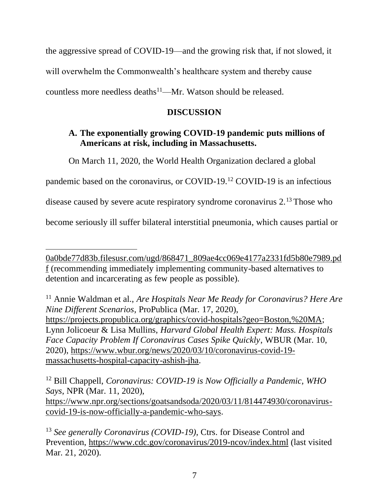the aggressive spread of COVID-19—and the growing risk that, if not slowed, it will overwhelm the Commonwealth's healthcare system and thereby cause countless more needless deaths<sup>11</sup>—Mr. Watson should be released.

# **DISCUSSION**

# **A. The exponentially growing COVID-19 pandemic puts millions of Americans at risk, including in Massachusetts.**

On March 11, 2020, the World Health Organization declared a global

pandemic based on the coronavirus, or COVID-19.<sup>12</sup> COVID-19 is an infectious

disease caused by severe acute respiratory syndrome coronavirus 2.<sup>13</sup> Those who

become seriously ill suffer bilateral interstitial pneumonia, which causes partial or

[0a0bde77d83b.filesusr.com/ugd/868471\\_809ae4cc069e4177a2331fd5b80e7989.pd](https://c026acbc-bc5d-4cef-8584-0a0bde77d83b.filesusr.com/ugd/868471_809ae4cc069e4177a2331fd5b80e7989.pdf) [f](https://c026acbc-bc5d-4cef-8584-0a0bde77d83b.filesusr.com/ugd/868471_809ae4cc069e4177a2331fd5b80e7989.pdf) (recommending immediately implementing community-based alternatives to detention and incarcerating as few people as possible).

<sup>11</sup> Annie Waldman et al., *Are Hospitals Near Me Ready for Coronavirus? Here Are Nine Different Scenarios*, ProPublica (Mar. 17, 2020), [https://projects.propublica.org/graphics/covid-hospitals?geo=Boston,%20MA;](https://projects.propublica.org/graphics/covid-hospitals?geo=Boston,%20MA) Lynn Jolicoeur & Lisa Mullins, *Harvard Global Health Expert: Mass. Hospitals Face Capacity Problem If Coronavirus Cases Spike Quickly*, WBUR (Mar. 10, 2020), [https://www.wbur.org/news/2020/03/10/coronavirus-covid-19](https://www.wbur.org/news/2020/03/10/coronavirus-covid-19-massachusetts-hospital-capacity-ashish-jha) [massachusetts-hospital-capacity-ashish-jha.](https://www.wbur.org/news/2020/03/10/coronavirus-covid-19-massachusetts-hospital-capacity-ashish-jha)

<sup>12</sup> Bill Chappell, *Coronavirus: COVID-19 is Now Officially a Pandemic, WHO Says*, NPR (Mar. 11, 2020), [https://www.npr.org/sections/goatsandsoda/2020/03/11/814474930/coronavirus](https://www.npr.org/sections/goatsandsoda/2020/03/11/814474930/coronavirus-covid-19-is-now-officially-a-pandemic-who-says)[covid-19-is-now-officially-a-pandemic-who-says.](https://www.npr.org/sections/goatsandsoda/2020/03/11/814474930/coronavirus-covid-19-is-now-officially-a-pandemic-who-says)

<sup>13</sup> *See generally Coronavirus (COVID-19)*, Ctrs. for Disease Control and Prevention,<https://www.cdc.gov/coronavirus/2019-ncov/index.html> (last visited Mar. 21, 2020).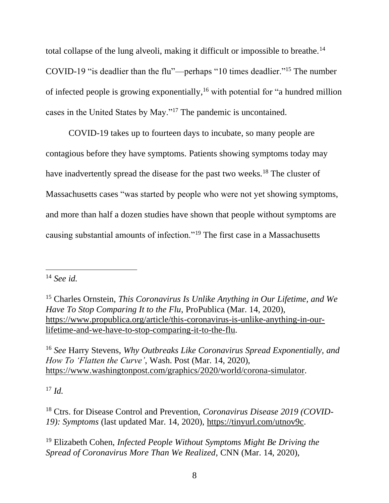total collapse of the lung alveoli, making it difficult or impossible to breathe.<sup>14</sup> COVID-19 "is deadlier than the flu"—perhaps "10 times deadlier."<sup>15</sup> The number of infected people is growing exponentially, <sup>16</sup> with potential for "a hundred million cases in the United States by May."<sup>17</sup> The pandemic is uncontained.

COVID-19 takes up to fourteen days to incubate, so many people are contagious before they have symptoms. Patients showing symptoms today may have inadvertently spread the disease for the past two weeks.<sup>18</sup> The cluster of Massachusetts cases "was started by people who were not yet showing symptoms, and more than half a dozen studies have shown that people without symptoms are causing substantial amounts of infection."<sup>19</sup> The first case in a Massachusetts

<sup>16</sup> *See* Harry Stevens, *Why Outbreaks Like Coronavirus Spread Exponentially, and How To 'Flatten the Curve'*, Wash. Post (Mar. 14, 2020), [https://www.washingtonpost.com/graphics/2020/world/corona-simulator.](https://www.washingtonpost.com/graphics/2020/world/corona-simulator/)

<sup>17</sup> *Id.*

<sup>18</sup> Ctrs. for Disease Control and Prevention, *Coronavirus Disease 2019 (COVID-19): Symptoms* (last updated Mar. 14, 2020), [https://tinyurl.com/utnov9c.](https://tinyurl.com/utnov9c)

<sup>19</sup> Elizabeth Cohen, *Infected People Without Symptoms Might Be Driving the Spread of Coronavirus More Than We Realized*, CNN (Mar. 14, 2020),

<sup>14</sup> *See id.*

<sup>15</sup> Charles Ornstein, *This Coronavirus Is Unlike Anything in Our Lifetime, and We Have To Stop Comparing It to the Flu*, ProPublica (Mar. 14, 2020), [https://www.propublica.org/article/this-coronavirus-is-unlike-anything-in-our](https://www.propublica.org/article/this-coronavirus-is-unlike-anything-in-our-lifetime-and-we-have-to-stop-comparing-it-to-the-flu)[lifetime-and-we-have-to-stop-comparing-it-to-the-flu.](https://www.propublica.org/article/this-coronavirus-is-unlike-anything-in-our-lifetime-and-we-have-to-stop-comparing-it-to-the-flu)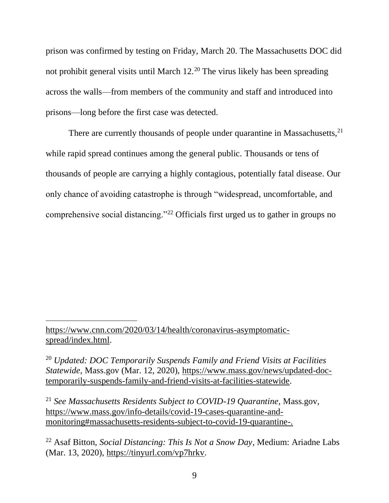prison was confirmed by testing on Friday, March 20. The Massachusetts DOC did not prohibit general visits until March 12.<sup>20</sup> The virus likely has been spreading across the walls—from members of the community and staff and introduced into prisons—long before the first case was detected.

There are currently thousands of people under quarantine in Massachusetts, $2<sup>1</sup>$ while rapid spread continues among the general public. Thousands or tens of thousands of people are carrying a highly contagious, potentially fatal disease. Our only chance of avoiding catastrophe is through "widespread, uncomfortable, and comprehensive social distancing."<sup>22</sup> Officials first urged us to gather in groups no

[https://www.cnn.com/2020/03/14/health/coronavirus-asymptomatic](https://www.cnn.com/2020/03/14/health/coronavirus-asymptomatic-spread/index.html)[spread/index.html.](https://www.cnn.com/2020/03/14/health/coronavirus-asymptomatic-spread/index.html)

<sup>20</sup> *Updated: DOC Temporarily Suspends Family and Friend Visits at Facilities Statewide*, Mass.gov (Mar. 12, 2020), [https://www.mass.gov/news/updated-doc](https://www.mass.gov/news/updated-doc-temporarily-suspends-family-and-friend-visits-at-facilities-statewide)[temporarily-suspends-family-and-friend-visits-at-facilities-statewide.](https://www.mass.gov/news/updated-doc-temporarily-suspends-family-and-friend-visits-at-facilities-statewide)

<sup>21</sup> *See Massachusetts Residents Subject to COVID-19 Quarantine*, Mass.gov, [https://www.mass.gov/info-details/covid-19-cases-quarantine-and](https://www.mass.gov/info-details/covid-19-cases-quarantine-and-monitoring#massachusetts-residents-subject-to-covid-19-quarantine-)[monitoring#massachusetts-residents-subject-to-covid-19-quarantine-.](https://www.mass.gov/info-details/covid-19-cases-quarantine-and-monitoring#massachusetts-residents-subject-to-covid-19-quarantine-)

<sup>22</sup> Asaf Bitton, *Social Distancing: This Is Not a Snow Day*, Medium: Ariadne Labs (Mar. 13, 2020), [https://tinyurl.com/vp7hrkv.](https://tinyurl.com/vp7hrkv)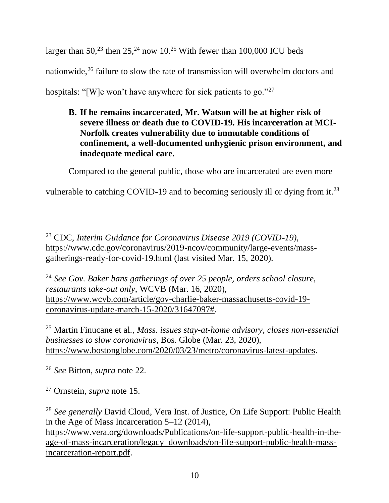larger than  $50<sup>23</sup>$  then  $25<sup>24</sup>$  now  $10<sup>25</sup>$  With fewer than 100,000 ICU beds nationwide,<sup>26</sup> failure to slow the rate of transmission will overwhelm doctors and hospitals: "[W]e won't have anywhere for sick patients to go."<sup>27</sup>

**B. If he remains incarcerated, Mr. Watson will be at higher risk of severe illness or death due to COVID-19. His incarceration at MCI-Norfolk creates vulnerability due to immutable conditions of confinement, a well-documented unhygienic prison environment, and inadequate medical care.**

Compared to the general public, those who are incarcerated are even more

vulnerable to catching COVID-19 and to becoming seriously ill or dying from it.<sup>28</sup>

<sup>24</sup> *See Gov. Baker bans gatherings of over 25 people, orders school closure, restaurants take-out only*, WCVB (Mar. 16, 2020), [https://www.wcvb.com/article/gov-charlie-baker-massachusetts-covid-19](https://www.wcvb.com/article/gov-charlie-baker-massachusetts-covid-19-coronavirus-update-march-15-2020/31647097) [coronavirus-update-march-15-2020/31647097#.](https://www.wcvb.com/article/gov-charlie-baker-massachusetts-covid-19-coronavirus-update-march-15-2020/31647097)

<sup>25</sup> Martin Finucane et al., *Mass. issues stay-at-home advisory, closes non-essential businesses to slow coronavirus*, Bos. Globe (Mar. 23, 2020), [https://www.bostonglobe.com/2020/03/23/metro/coronavirus-latest-updates.](https://www.bostonglobe.com/2020/03/23/metro/coronavirus-latest-updates/)

<sup>26</sup> *See* Bitton, *supra* note 22.

<sup>27</sup> Ornstein, *supra* note 15.

<sup>28</sup> *See generally* David Cloud, Vera Inst. of Justice, On Life Support: Public Health in the Age of Mass Incarceration 5–12 (2014), [https://www.vera.org/downloads/Publications/on-life-support-public-health-in-the](https://www.vera.org/downloads/Publications/on-life-support-public-health-in-the-age-of-mass-incarceration/legacy_downloads/on-life-support-public-health-mass-incarceration-report.pdf)[age-of-mass-incarceration/legacy\\_downloads/on-life-support-public-health-mass](https://www.vera.org/downloads/Publications/on-life-support-public-health-in-the-age-of-mass-incarceration/legacy_downloads/on-life-support-public-health-mass-incarceration-report.pdf)[incarceration-report.pdf.](https://www.vera.org/downloads/Publications/on-life-support-public-health-in-the-age-of-mass-incarceration/legacy_downloads/on-life-support-public-health-mass-incarceration-report.pdf)

<sup>23</sup> CDC, *Interim Guidance for Coronavirus Disease 2019 (COVID-19)*, [https://www.cdc.gov/coronavirus/2019-ncov/community/large-events/mass](https://www.cdc.gov/coronavirus/2019-ncov/community/large-events/mass-gatherings-ready-for-covid-19.html)[gatherings-ready-for-covid-19.html](https://www.cdc.gov/coronavirus/2019-ncov/community/large-events/mass-gatherings-ready-for-covid-19.html) (last visited Mar. 15, 2020).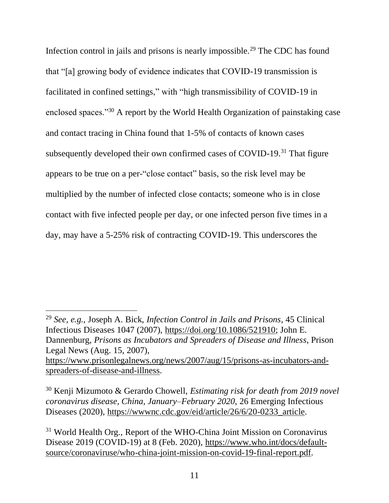Infection control in jails and prisons is nearly impossible.<sup>29</sup> The CDC has found that "[a] growing body of evidence indicates that COVID-19 transmission is facilitated in confined settings," with "high transmissibility of COVID-19 in enclosed spaces."<sup>30</sup> A report by the World Health Organization of painstaking case and contact tracing in China found that 1-5% of contacts of known cases subsequently developed their own confirmed cases of COVID-19.<sup>31</sup> That figure appears to be true on a per-"close contact" basis, so the risk level may be multiplied by the number of infected close contacts; someone who is in close contact with five infected people per day, or one infected person five times in a day, may have a 5-25% risk of contracting COVID-19. This underscores the

<sup>29</sup> *See, e.g.*, Joseph A. Bick, *Infection Control in Jails and Prisons*, 45 Clinical Infectious Diseases 1047 (2007), [https://doi.org/10.1086/521910;](https://doi.org/10.1086/521910) John E. Dannenburg, *Prisons as Incubators and Spreaders of Disease and Illness*, Prison Legal News (Aug. 15, 2007), [https://www.prisonlegalnews.org/news/2007/aug/15/prisons-as-incubators-and](https://www.prisonlegalnews.org/news/2007/aug/15/prisons-as-incubators-and-spreaders-of-disease-and-illness/)[spreaders-of-disease-and-illness.](https://www.prisonlegalnews.org/news/2007/aug/15/prisons-as-incubators-and-spreaders-of-disease-and-illness/)

<sup>30</sup> Kenji Mizumoto & Gerardo Chowell, *Estimating risk for death from 2019 novel coronavirus disease, China, January–February 2020*, 26 Emerging Infectious Diseases (2020), https://www.nc.cdc.gov/eid/article/26/6/20-0233\_article.

<sup>31</sup> World Health Org., Report of the WHO-China Joint Mission on Coronavirus Disease 2019 (COVID-19) at 8 (Feb. 2020), [https://www.who.int/docs/default](https://www.who.int/docs/default-source/coronaviruse/who-china-joint-mission-on-covid-19-final-report.pdf)[source/coronaviruse/who-china-joint-mission-on-covid-19-final-report.pdf.](https://www.who.int/docs/default-source/coronaviruse/who-china-joint-mission-on-covid-19-final-report.pdf)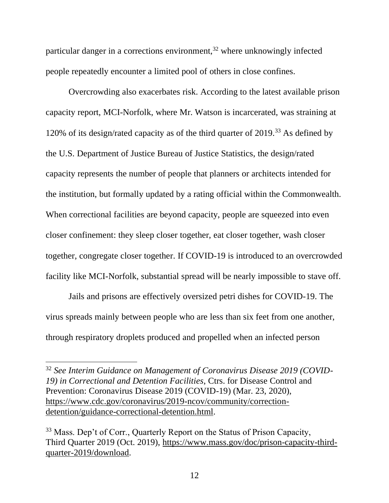particular danger in a corrections environment,  $32$  where unknowingly infected people repeatedly encounter a limited pool of others in close confines.

Overcrowding also exacerbates risk. According to the latest available prison capacity report, MCI-Norfolk, where Mr. Watson is incarcerated, was straining at 120% of its design/rated capacity as of the third quarter of 2019.<sup>33</sup> As defined by the U.S. Department of Justice Bureau of Justice Statistics, the design/rated capacity represents the number of people that planners or architects intended for the institution, but formally updated by a rating official within the Commonwealth. When correctional facilities are beyond capacity, people are squeezed into even closer confinement: they sleep closer together, eat closer together, wash closer together, congregate closer together. If COVID-19 is introduced to an overcrowded facility like MCI-Norfolk, substantial spread will be nearly impossible to stave off.

Jails and prisons are effectively oversized petri dishes for COVID-19. The virus spreads mainly between people who are less than six feet from one another, through respiratory droplets produced and propelled when an infected person

<sup>32</sup> *See Interim Guidance on Management of Coronavirus Disease 2019 (COVID-19) in Correctional and Detention Facilities*, Ctrs. for Disease Control and Prevention: Coronavirus Disease 2019 (COVID-19) (Mar. 23, 2020), [https://www.cdc.gov/coronavirus/2019-ncov/community/correction](https://www.cdc.gov/coronavirus/2019-ncov/community/correction-detention/guidance-correctional-detention.html)[detention/guidance-correctional-detention.html.](https://www.cdc.gov/coronavirus/2019-ncov/community/correction-detention/guidance-correctional-detention.html)

<sup>&</sup>lt;sup>33</sup> Mass. Dep't of Corr., Quarterly Report on the Status of Prison Capacity, Third Quarter 2019 (Oct. 2019), [https://www.mass.gov/doc/prison-capacity-third](https://www.mass.gov/doc/prison-capacity-third-quarter-2019/download)[quarter-2019/download.](https://www.mass.gov/doc/prison-capacity-third-quarter-2019/download)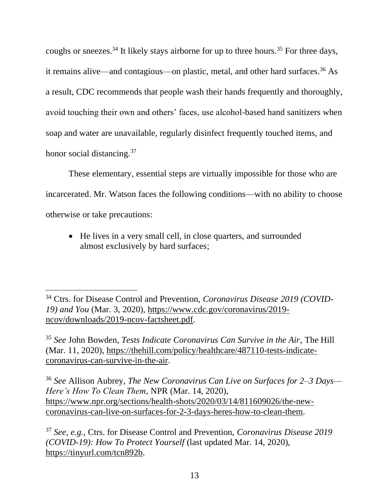coughs or sneezes.<sup>34</sup> It likely stays airborne for up to three hours.<sup>35</sup> For three days, it remains alive—and contagious—on plastic, metal, and other hard surfaces.<sup>36</sup> As a result, CDC recommends that people wash their hands frequently and thoroughly, avoid touching their own and others' faces, use alcohol-based hand sanitizers when soap and water are unavailable, regularly disinfect frequently touched items, and honor social distancing.<sup>37</sup>

These elementary, essential steps are virtually impossible for those who are incarcerated. Mr. Watson faces the following conditions—with no ability to choose otherwise or take precautions:

• He lives in a very small cell, in close quarters, and surrounded almost exclusively by hard surfaces;

<sup>35</sup> *See* John Bowden, *Tests Indicate Coronavirus Can Survive in the Air*, The Hill (Mar. 11, 2020), [https://thehill.com/policy/healthcare/487110-tests-indicate](https://thehill.com/policy/healthcare/487110-tests-indicate-coronavirus-can-survive-in-the-air)[coronavirus-can-survive-in-the-air.](https://thehill.com/policy/healthcare/487110-tests-indicate-coronavirus-can-survive-in-the-air)

<sup>36</sup> *See* Allison Aubrey, *The New Coronavirus Can Live on Surfaces for 2–3 Days— Here's How To Clean Them*, NPR (Mar. 14, 2020), [https://www.npr.org/sections/health-shots/2020/03/14/811609026/the-new](https://www.npr.org/sections/health-shots/2020/03/14/811609026/the-new-coronavirus-can-live-on-surfaces-for-2-3-days-heres-how-to-clean-them)[coronavirus-can-live-on-surfaces-for-2-3-days-heres-how-to-clean-them.](https://www.npr.org/sections/health-shots/2020/03/14/811609026/the-new-coronavirus-can-live-on-surfaces-for-2-3-days-heres-how-to-clean-them)

<sup>37</sup> *See, e.g.*, Ctrs. for Disease Control and Prevention, *Coronavirus Disease 2019 (COVID-19): How To Protect Yourself* (last updated Mar. 14, 2020), [https://tinyurl.com/tcn892b.](https://tinyurl.com/tcn892b)

<sup>34</sup> Ctrs. for Disease Control and Prevention, *Coronavirus Disease 2019 (COVID-19) and You* (Mar. 3, 2020), [https://www.cdc.gov/coronavirus/2019](https://www.cdc.gov/coronavirus/2019-ncov/downloads/2019-ncov-factsheet.pdf) [ncov/downloads/2019-ncov-factsheet.pdf.](https://www.cdc.gov/coronavirus/2019-ncov/downloads/2019-ncov-factsheet.pdf)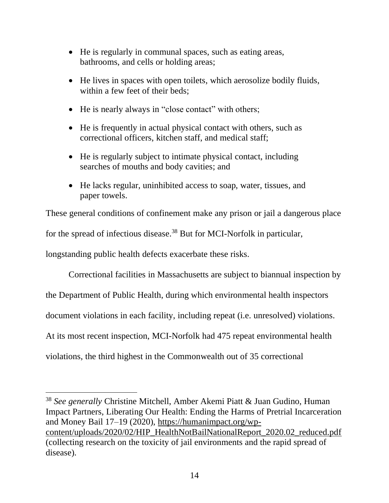- He is regularly in communal spaces, such as eating areas, bathrooms, and cells or holding areas;
- He lives in spaces with open toilets, which aerosolize bodily fluids, within a few feet of their beds;
- He is nearly always in "close contact" with others;
- He is frequently in actual physical contact with others, such as correctional officers, kitchen staff, and medical staff;
- He is regularly subject to intimate physical contact, including searches of mouths and body cavities; and
- He lacks regular, uninhibited access to soap, water, tissues, and paper towels.

These general conditions of confinement make any prison or jail a dangerous place for the spread of infectious disease.<sup>38</sup> But for MCI-Norfolk in particular, longstanding public health defects exacerbate these risks.

Correctional facilities in Massachusetts are subject to biannual inspection by the Department of Public Health, during which environmental health inspectors document violations in each facility, including repeat (i.e. unresolved) violations. At its most recent inspection, MCI-Norfolk had 475 repeat environmental health violations, the third highest in the Commonwealth out of 35 correctional

<sup>38</sup> *See generally* Christine Mitchell, Amber Akemi Piatt & Juan Gudino, Human Impact Partners, Liberating Our Health: Ending the Harms of Pretrial Incarceration and Money Bail 17–19 (2020), [https://humanimpact.org/wp](https://humanimpact.org/wp-content/uploads/2020/02/HIP_HealthNotBailNationalReport_2020.02_reduced.pdf)[content/uploads/2020/02/HIP\\_HealthNotBailNationalReport\\_2020.02\\_reduced.pdf](https://humanimpact.org/wp-content/uploads/2020/02/HIP_HealthNotBailNationalReport_2020.02_reduced.pdf) (collecting research on the toxicity of jail environments and the rapid spread of disease).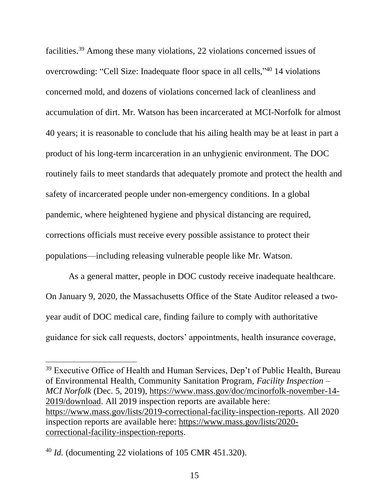facilities. <sup>39</sup> Among these many violations, 22 violations concerned issues of overcrowding: "Cell Size: Inadequate floor space in all cells,"<sup>40</sup> 14 violations concerned mold, and dozens of violations concerned lack of cleanliness and accumulation of dirt. Mr. Watson has been incarcerated at MCI-Norfolk for almost 40 years; it is reasonable to conclude that his ailing health may be at least in part a product of his long-term incarceration in an unhygienic environment. The DOC routinely fails to meet standards that adequately promote and protect the health and safety of incarcerated people under non-emergency conditions. In a global pandemic, where heightened hygiene and physical distancing are required, corrections officials must receive every possible assistance to protect their populations—including releasing vulnerable people like Mr. Watson.

As a general matter, people in DOC custody receive inadequate healthcare. On January 9, 2020, the Massachusetts Office of the State Auditor released a twoyear audit of DOC medical care, finding failure to comply with authoritative guidance for sick call requests, doctors' appointments, health insurance coverage,

<sup>&</sup>lt;sup>39</sup> Executive Office of Health and Human Services, Dep't of Public Health, Bureau of Environmental Health, Community Sanitation Program, *Facility Inspection – MCI Norfolk* (Dec. 5, 2019), [https://www.mass.gov/doc/mcinorfolk-november-14-](https://www.mass.gov/doc/mcinorfolk-november-14-2019/download) [2019/download.](https://www.mass.gov/doc/mcinorfolk-november-14-2019/download) All 2019 inspection reports are available here: [https://www.mass.gov/lists/2019-correctional-facility-inspection-reports.](https://www.mass.gov/lists/2019-correctional-facility-inspection-reports) All 2020 inspection reports are available here: [https://www.mass.gov/lists/2020](https://www.mass.gov/lists/2020-correctional-facility-inspection-reports) [correctional-facility-inspection-reports.](https://www.mass.gov/lists/2020-correctional-facility-inspection-reports)

<sup>40</sup> *Id.* (documenting 22 violations of 105 CMR 451.320).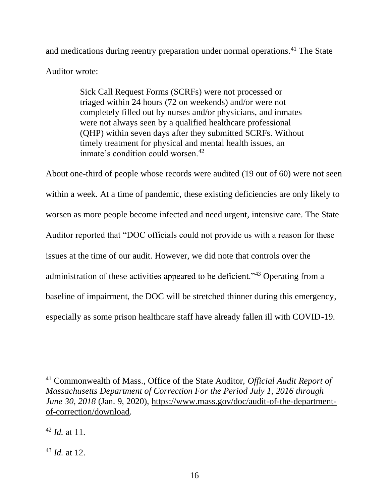and medications during reentry preparation under normal operations. <sup>41</sup> The State Auditor wrote:

> Sick Call Request Forms (SCRFs) were not processed or triaged within 24 hours (72 on weekends) and/or were not completely filled out by nurses and/or physicians, and inmates were not always seen by a qualified healthcare professional (QHP) within seven days after they submitted SCRFs. Without timely treatment for physical and mental health issues, an inmate's condition could worsen.<sup>42</sup>

About one-third of people whose records were audited (19 out of 60) were not seen within a week. At a time of pandemic, these existing deficiencies are only likely to worsen as more people become infected and need urgent, intensive care. The State Auditor reported that "DOC officials could not provide us with a reason for these issues at the time of our audit. However, we did note that controls over the administration of these activities appeared to be deficient."<sup>43</sup> Operating from a baseline of impairment, the DOC will be stretched thinner during this emergency, especially as some prison healthcare staff have already fallen ill with COVID-19.

<sup>41</sup> Commonwealth of Mass., Office of the State Auditor, *Official Audit Report of Massachusetts Department of Correction For the Period July 1, 2016 through June 30, 2018* (Jan. 9, 2020), [https://www.mass.gov/doc/audit-of-the-department](https://www.mass.gov/doc/audit-of-the-department-of-correction/download)[of-correction/download.](https://www.mass.gov/doc/audit-of-the-department-of-correction/download)

<sup>42</sup> *Id.* at 11.

<sup>43</sup> *Id.* at 12.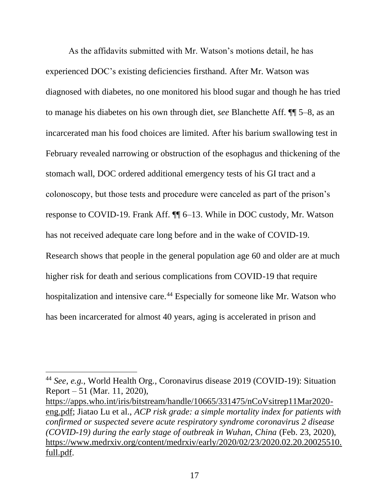As the affidavits submitted with Mr. Watson's motions detail, he has experienced DOC's existing deficiencies firsthand. After Mr. Watson was diagnosed with diabetes, no one monitored his blood sugar and though he has tried to manage his diabetes on his own through diet, *see* Blanchette Aff. ¶¶ 5–8, as an incarcerated man his food choices are limited. After his barium swallowing test in February revealed narrowing or obstruction of the esophagus and thickening of the stomach wall, DOC ordered additional emergency tests of his GI tract and a colonoscopy, but those tests and procedure were canceled as part of the prison's response to COVID-19. Frank Aff. ¶¶ 6–13. While in DOC custody, Mr. Watson has not received adequate care long before and in the wake of COVID-19. Research shows that people in the general population age 60 and older are at much higher risk for death and serious complications from COVID-19 that require hospitalization and intensive care.<sup>44</sup> Especially for someone like Mr. Watson who has been incarcerated for almost 40 years, aging is accelerated in prison and

<sup>44</sup> *See, e.g.*, World Health Org., Coronavirus disease 2019 (COVID-19): Situation Report – 51 (Mar. 11, 2020),

[https://apps.who.int/iris/bitstream/handle/10665/331475/nCoVsitrep11Mar2020](https://apps.who.int/iris/bitstream/handle/10665/331475/nCoVsitrep11Mar2020-eng.pdf) [eng.pdf;](https://apps.who.int/iris/bitstream/handle/10665/331475/nCoVsitrep11Mar2020-eng.pdf) Jiatao Lu et al., *ACP risk grade: a simple mortality index for patients with confirmed or suspected severe acute respiratory syndrome coronavirus 2 disease (COVID-19) during the early stage of outbreak in Wuhan, China* (Feb. 23, 2020), [https://www.medrxiv.org/content/medrxiv/early/2020/02/23/2020.02.20.20025510.](https://www.medrxiv.org/content/medrxiv/early/2020/02/23/2020.02.20.20025510.full.pdf) [full.pdf.](https://www.medrxiv.org/content/medrxiv/early/2020/02/23/2020.02.20.20025510.full.pdf)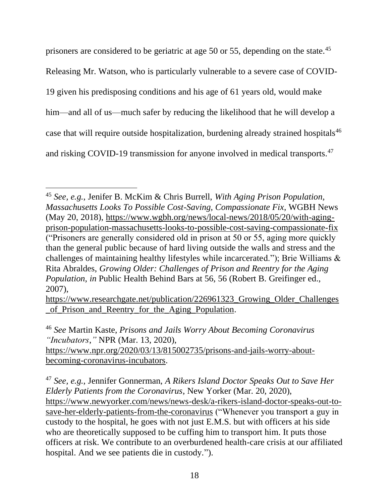prisoners are considered to be geriatric at age 50 or 55, depending on the state.<sup>45</sup>

Releasing Mr. Watson, who is particularly vulnerable to a severe case of COVID-

19 given his predisposing conditions and his age of 61 years old, would make

him—and all of us—much safer by reducing the likelihood that he will develop a

case that will require outside hospitalization, burdening already strained hospitals<sup>46</sup>

and risking COVID-19 transmission for anyone involved in medical transports.<sup>47</sup>

<sup>46</sup> *See* Martin Kaste, *Prisons and Jails Worry About Becoming Coronavirus "Incubators*,*"* NPR (Mar. 13, 2020), [https://www.npr.org/2020/03/13/815002735/prisons-and-jails-worry-about](https://www.npr.org/2020/03/13/815002735/prisons-and-jails-worry-about-becoming-coronavirus-incubators)[becoming-coronavirus-incubators.](https://www.npr.org/2020/03/13/815002735/prisons-and-jails-worry-about-becoming-coronavirus-incubators)

<sup>47</sup> *See, e.g.*, Jennifer Gonnerman, *A Rikers Island Doctor Speaks Out to Save Her Elderly Patients from the Coronavirus*, New Yorker (Mar. 20, 2020), [https://www.newyorker.com/news/news-desk/a-rikers-island-doctor-speaks-out-to](https://www.newyorker.com/news/news-desk/a-rikers-island-doctor-speaks-out-to-save-her-elderly-patients-from-the-coronavirus)[save-her-elderly-patients-from-the-coronavirus](https://www.newyorker.com/news/news-desk/a-rikers-island-doctor-speaks-out-to-save-her-elderly-patients-from-the-coronavirus) ("Whenever you transport a guy in custody to the hospital, he goes with not just E.M.S. but with officers at his side who are theoretically supposed to be cuffing him to transport him. It puts those officers at risk. We contribute to an overburdened health-care crisis at our affiliated hospital. And we see patients die in custody.").

<sup>45</sup> *See, e.g.*, Jenifer B. McKim & Chris Burrell, *With Aging Prison Population, Massachusetts Looks To Possible Cost-Saving, Compassionate Fix*, WGBH News (May 20, 2018), [https://www.wgbh.org/news/local-news/2018/05/20/with-aging](https://www.wgbh.org/news/local-news/2018/05/20/with-aging-prison-population-massachusetts-looks-to-possible-cost-saving-compassionate-fix)[prison-population-massachusetts-looks-to-possible-cost-saving-compassionate-fix](https://www.wgbh.org/news/local-news/2018/05/20/with-aging-prison-population-massachusetts-looks-to-possible-cost-saving-compassionate-fix) ("Prisoners are generally considered old in prison at 50 or 55, aging more quickly than the general public because of hard living outside the walls and stress and the challenges of maintaining healthy lifestyles while incarcerated."); Brie Williams & Rita Abraldes, *Growing Older: Challenges of Prison and Reentry for the Aging Population*, *in* Public Health Behind Bars at 56, 56 (Robert B. Greifinger ed., 2007),

[https://www.researchgate.net/publication/226961323\\_Growing\\_Older\\_Challenges](https://www.researchgate.net/publication/226961323_Growing_Older_Challenges_of_Prison_and_Reentry_for_the_Aging_Population) [\\_of\\_Prison\\_and\\_Reentry\\_for\\_the\\_Aging\\_Population.](https://www.researchgate.net/publication/226961323_Growing_Older_Challenges_of_Prison_and_Reentry_for_the_Aging_Population)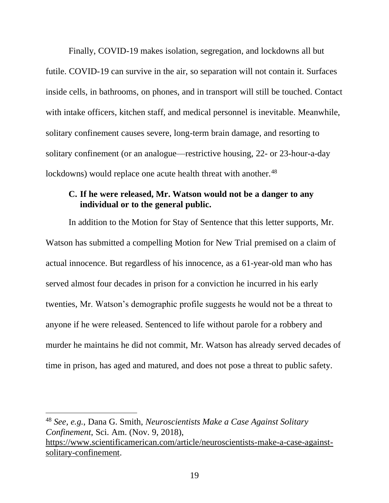Finally, COVID-19 makes isolation, segregation, and lockdowns all but futile. COVID-19 can survive in the air, so separation will not contain it. Surfaces inside cells, in bathrooms, on phones, and in transport will still be touched. Contact with intake officers, kitchen staff, and medical personnel is inevitable. Meanwhile, solitary confinement causes severe, long-term brain damage, and resorting to solitary confinement (or an analogue—restrictive housing, 22- or 23-hour-a-day lockdowns) would replace one acute health threat with another.<sup>48</sup>

## **C. If he were released, Mr. Watson would not be a danger to any individual or to the general public.**

In addition to the Motion for Stay of Sentence that this letter supports, Mr. Watson has submitted a compelling Motion for New Trial premised on a claim of actual innocence. But regardless of his innocence, as a 61-year-old man who has served almost four decades in prison for a conviction he incurred in his early twenties, Mr. Watson's demographic profile suggests he would not be a threat to anyone if he were released. Sentenced to life without parole for a robbery and murder he maintains he did not commit, Mr. Watson has already served decades of time in prison, has aged and matured, and does not pose a threat to public safety.

<sup>48</sup> *See, e.g.*, Dana G. Smith, *Neuroscientists Make a Case Against Solitary Confinement*, Sci. Am. (Nov. 9, 2018), [https://www.scientificamerican.com/article/neuroscientists-make-a-case-against](https://www.scientificamerican.com/article/neuroscientists-make-a-case-against-solitary-confinement/)[solitary-confinement.](https://www.scientificamerican.com/article/neuroscientists-make-a-case-against-solitary-confinement/)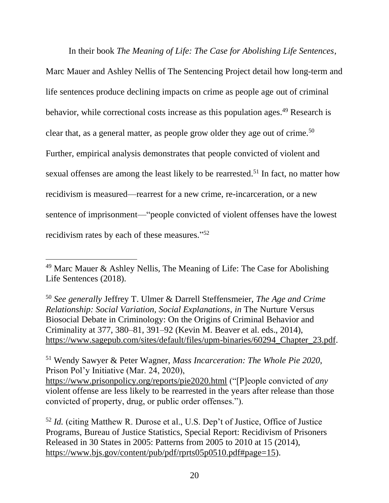In their book *The Meaning of Life: The Case for Abolishing Life Sentences*,

Marc Mauer and Ashley Nellis of The Sentencing Project detail how long-term and life sentences produce declining impacts on crime as people age out of criminal behavior, while correctional costs increase as this population ages.<sup>49</sup> Research is clear that, as a general matter, as people grow older they age out of crime.<sup>50</sup> Further, empirical analysis demonstrates that people convicted of violent and sexual offenses are among the least likely to be rearrested.<sup>51</sup> In fact, no matter how recidivism is measured—rearrest for a new crime, re-incarceration, or a new sentence of imprisonment—"people convicted of violent offenses have the lowest recidivism rates by each of these measures."<sup>52</sup>

<sup>50</sup> *See generally* Jeffrey T. Ulmer & Darrell Steffensmeier, *The Age and Crime Relationship: Social Variation, Social Explanations*, *in* The Nurture Versus Biosocial Debate in Criminology: On the Origins of Criminal Behavior and Criminality at 377, 380–81, 391–92 (Kevin M. Beaver et al. eds., 2014), [https://www.sagepub.com/sites/default/files/upm-binaries/60294\\_Chapter\\_23.pdf.](https://www.sagepub.com/sites/default/files/upm-binaries/60294_Chapter_23.pdf)

<sup>51</sup> Wendy Sawyer & Peter Wagner, *Mass Incarceration: The Whole Pie 2020*, Prison Pol'y Initiative (Mar. 24, 2020),

 $49$  Marc Mauer & Ashley Nellis, The Meaning of Life: The Case for Abolishing Life Sentences (2018).

<https://www.prisonpolicy.org/reports/pie2020.html> ("[P]eople convicted of *any* violent offense are less likely to be rearrested in the years after release than those convicted of property, drug, or public order offenses.").

<sup>52</sup> *Id.* (citing Matthew R. Durose et al., U.S. Dep't of Justice, Office of Justice Programs, Bureau of Justice Statistics, Special Report: Recidivism of Prisoners Released in 30 States in 2005: Patterns from 2005 to 2010 at 15 (2014), [https://www.bjs.gov/content/pub/pdf/rprts05p0510.pdf#page=15\)](https://www.bjs.gov/content/pub/pdf/rprts05p0510.pdf#page=15).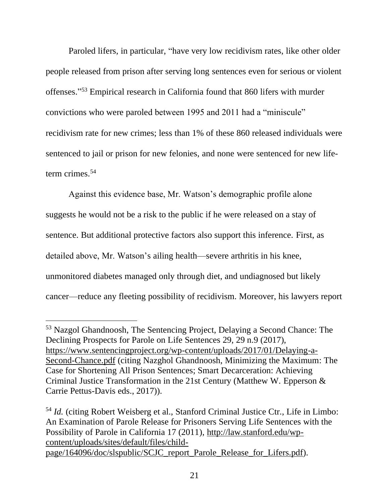Paroled lifers, in particular, "have very low recidivism rates, like other older people released from prison after serving long sentences even for serious or violent offenses." <sup>53</sup> Empirical research in California found that 860 lifers with murder convictions who were paroled between 1995 and 2011 had a "miniscule" recidivism rate for new crimes; less than 1% of these 860 released individuals were sentenced to jail or prison for new felonies, and none were sentenced for new lifeterm crimes.<sup>54</sup>

Against this evidence base, Mr. Watson's demographic profile alone suggests he would not be a risk to the public if he were released on a stay of sentence. But additional protective factors also support this inference. First, as detailed above, Mr. Watson's ailing health—severe arthritis in his knee, unmonitored diabetes managed only through diet, and undiagnosed but likely cancer—reduce any fleeting possibility of recidivism. Moreover, his lawyers report

<sup>53</sup> Nazgol Ghandnoosh, The Sentencing Project, Delaying a Second Chance: The Declining Prospects for Parole on Life Sentences 29, 29 n.9 (2017), [https://www.sentencingproject.org/wp-content/uploads/2017/01/Delaying-a-](https://www.sentencingproject.org/wp-content/uploads/2017/01/Delaying-a-Second-Chance.pdf)[Second-Chance.pdf](https://www.sentencingproject.org/wp-content/uploads/2017/01/Delaying-a-Second-Chance.pdf) (citing Nazghol Ghandnoosh, Minimizing the Maximum: The Case for Shortening All Prison Sentences; Smart Decarceration: Achieving Criminal Justice Transformation in the 21st Century (Matthew W. Epperson & Carrie Pettus-Davis eds., 2017)).

<sup>&</sup>lt;sup>54</sup> *Id.* (citing Robert Weisberg et al., Stanford Criminal Justice Ctr., Life in Limbo: An Examination of Parole Release for Prisoners Serving Life Sentences with the Possibility of Parole in California 17 (2011), [http://law.stanford.edu/wp](http://law.stanford.edu/wp-content/uploads/sites/default/files/child-page/164096/doc/slspublic/SCJC_report_Parole_Release_for_Lifers.pdf)[content/uploads/sites/default/files/child](http://law.stanford.edu/wp-content/uploads/sites/default/files/child-page/164096/doc/slspublic/SCJC_report_Parole_Release_for_Lifers.pdf)[page/164096/doc/slspublic/SCJC\\_report\\_Parole\\_Release\\_for\\_Lifers.pdf\)](http://law.stanford.edu/wp-content/uploads/sites/default/files/child-page/164096/doc/slspublic/SCJC_report_Parole_Release_for_Lifers.pdf).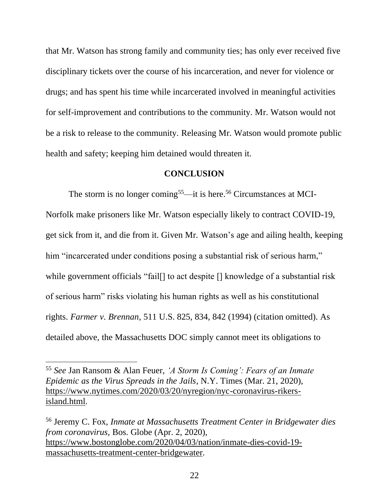that Mr. Watson has strong family and community ties; has only ever received five disciplinary tickets over the course of his incarceration, and never for violence or drugs; and has spent his time while incarcerated involved in meaningful activities for self-improvement and contributions to the community. Mr. Watson would not be a risk to release to the community. Releasing Mr. Watson would promote public health and safety; keeping him detained would threaten it.

#### **CONCLUSION**

The storm is no longer coming<sup>55</sup>—it is here.<sup>56</sup> Circumstances at MCI-Norfolk make prisoners like Mr. Watson especially likely to contract COVID-19, get sick from it, and die from it. Given Mr. Watson's age and ailing health, keeping him "incarcerated under conditions posing a substantial risk of serious harm," while government officials "fail[] to act despite [] knowledge of a substantial risk of serious harm" risks violating his human rights as well as his constitutional rights. *Farmer v. Brennan*, 511 U.S. 825, 834, 842 (1994) (citation omitted). As detailed above, the Massachusetts DOC simply cannot meet its obligations to

<sup>55</sup> *See* Jan Ransom & Alan Feuer, *'A Storm Is Coming': Fears of an Inmate Epidemic as the Virus Spreads in the Jails*, N.Y. Times (Mar. 21, 2020), [https://www.nytimes.com/2020/03/20/nyregion/nyc-coronavirus-rikers](https://www.nytimes.com/2020/03/20/nyregion/nyc-coronavirus-rikers-island.html)[island.html.](https://www.nytimes.com/2020/03/20/nyregion/nyc-coronavirus-rikers-island.html)

<sup>56</sup> Jeremy C. Fox, *Inmate at Massachusetts Treatment Center in Bridgewater dies from coronavirus*, Bos. Globe (Apr. 2, 2020), [https://www.bostonglobe.com/2020/04/03/nation/inmate-dies-covid-19](https://www.bostonglobe.com/2020/04/03/nation/inmate-dies-covid-19-massachusetts-treatment-center-bridgewater/) [massachusetts-treatment-center-bridgewater.](https://www.bostonglobe.com/2020/04/03/nation/inmate-dies-covid-19-massachusetts-treatment-center-bridgewater/)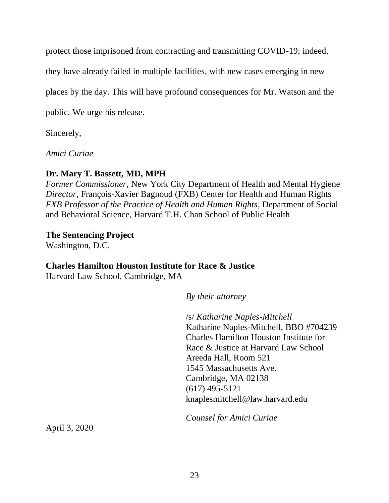protect those imprisoned from contracting and transmitting COVID-19; indeed,

they have already failed in multiple facilities, with new cases emerging in new

places by the day. This will have profound consequences for Mr. Watson and the

public. We urge his release.

Sincerely,

*Amici Curiae*

# **Dr. Mary T. Bassett, MD, MPH**

*Former Commissioner*, New York City Department of Health and Mental Hygiene *Director*, François-Xavier Bagnoud (FXB) Center for Health and Human Rights *FXB Professor of the Practice of Health and Human Rights*, Department of Social and Behavioral Science, Harvard T.H. Chan School of Public Health

# **The Sentencing Project**

Washington, D.C.

# **Charles Hamilton Houston Institute for Race & Justice**

Harvard Law School, Cambridge, MA

*By their attorney*

/s/ *Katharine Naples-Mitchell* Katharine Naples-Mitchell, BBO #704239 Charles Hamilton Houston Institute for Race & Justice at Harvard Law School Areeda Hall, Room 521 1545 Massachusetts Ave. Cambridge, MA 02138 (617) 495-5121 [knaplesmitchell@law.harvard.edu](mailto:knaplesmitchell@law.harvard.edu)

*Counsel for Amici Curiae*

April 3, 2020